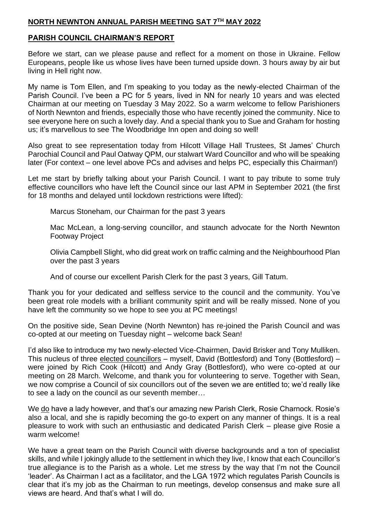#### **NORTH NEWNTON ANNUAL PARISH MEETING SAT 7 TH MAY 2022**

### **PARISH COUNCIL CHAIRMAN'S REPORT**

Before we start, can we please pause and reflect for a moment on those in Ukraine. Fellow Europeans, people like us whose lives have been turned upside down. 3 hours away by air but living in Hell right now.

My name is Tom Ellen, and I'm speaking to you today as the newly-elected Chairman of the Parish Council. I've been a PC for 5 years, lived in NN for nearly 10 years and was elected Chairman at our meeting on Tuesday 3 May 2022. So a warm welcome to fellow Parishioners of North Newnton and friends, especially those who have recently joined the community. Nice to see everyone here on such a lovely day. And a special thank you to Sue and Graham for hosting us; it's marvellous to see The Woodbridge Inn open and doing so well!

Also great to see representation today from Hilcott Village Hall Trustees, St James' Church Parochial Council and Paul Oatway QPM, our stalwart Ward Councillor and who will be speaking later (For context – one level above PCs and advises and helps PC, especially this Chairman!)

Let me start by briefly talking about your Parish Council. I want to pay tribute to some truly effective councillors who have left the Council since our last APM in September 2021 (the first for 18 months and delayed until lockdown restrictions were lifted):

Marcus Stoneham, our Chairman for the past 3 years

Mac McLean, a long-serving councillor, and staunch advocate for the North Newnton Footway Project

Olivia Campbell Slight, who did great work on traffic calming and the Neighbourhood Plan over the past 3 years

And of course our excellent Parish Clerk for the past 3 years, Gill Tatum.

Thank you for your dedicated and selfless service to the council and the community. You've been great role models with a brilliant community spirit and will be really missed. None of you have left the community so we hope to see you at PC meetings!

On the positive side, Sean Devine (North Newnton) has re-joined the Parish Council and was co-opted at our meeting on Tuesday night – welcome back Sean!

I'd also like to introduce my two newly-elected Vice-Chairmen, David Brisker and Tony Mulliken. This nucleus of three elected councillors – myself, David (Bottlesford) and Tony (Bottlesford) – were joined by Rich Cook (Hilcott) and Andy Gray (Bottlesford), who were co-opted at our meeting on 28 March. Welcome, and thank you for volunteering to serve. Together with Sean, we now comprise a Council of six councillors out of the seven we are entitled to; we'd really like to see a lady on the council as our seventh member…

We do have a lady however, and that's our amazing new Parish Clerk, Rosie Charnock. Rosie's also a local, and she is rapidly becoming the go-to expert on any manner of things. It is a real pleasure to work with such an enthusiastic and dedicated Parish Clerk – please give Rosie a warm welcome!

We have a great team on the Parish Council with diverse backgrounds and a ton of specialist skills, and while I jokingly allude to the settlement in which they live, I know that each Councillor's true allegiance is to the Parish as a whole. Let me stress by the way that I'm not the Council 'leader'. As Chairman I act as a facilitator, and the LGA 1972 which regulates Parish Councils is clear that it's my job as the Chairman to run meetings, develop consensus and make sure all views are heard. And that's what I will do.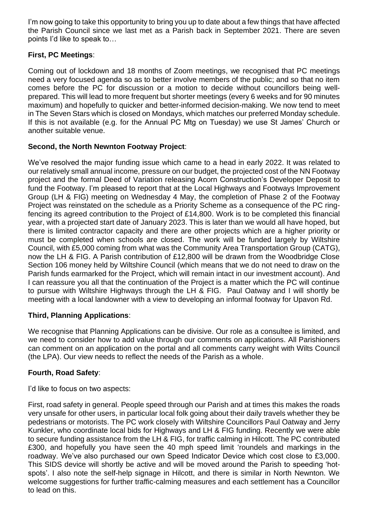I'm now going to take this opportunity to bring you up to date about a few things that have affected the Parish Council since we last met as a Parish back in September 2021. There are seven points I'd like to speak to…

# **First, PC Meetings**:

Coming out of lockdown and 18 months of Zoom meetings, we recognised that PC meetings need a very focused agenda so as to better involve members of the public; and so that no item comes before the PC for discussion or a motion to decide without councillors being wellprepared. This will lead to more frequent but shorter meetings (every 6 weeks and for 90 minutes maximum) and hopefully to quicker and better-informed decision-making. We now tend to meet in The Seven Stars which is closed on Mondays, which matches our preferred Monday schedule. If this is not available (e.g. for the Annual PC Mtg on Tuesday) we use St James' Church or another suitable venue.

# **Second, the North Newnton Footway Project**:

We've resolved the major funding issue which came to a head in early 2022. It was related to our relatively small annual income, pressure on our budget, the projected cost of the NN Footway project and the formal Deed of Variation releasing Acorn Construction's Developer Deposit to fund the Footway. I'm pleased to report that at the Local Highways and Footways Improvement Group (LH & FIG) meeting on Wednesday 4 May, the completion of Phase 2 of the Footway Project was reinstated on the schedule as a Priority Scheme as a consequence of the PC ringfencing its agreed contribution to the Project of £14,800. Work is to be completed this financial year, with a projected start date of January 2023. This is later than we would all have hoped, but there is limited contractor capacity and there are other projects which are a higher priority or must be completed when schools are closed. The work will be funded largely by Wiltshire Council, with £5,000 coming from what was the Community Area Transportation Group (CATG), now the LH & FIG. A Parish contribution of £12,800 will be drawn from the Woodbridge Close Section 106 money held by Wiltshire Council (which means that we do not need to draw on the Parish funds earmarked for the Project, which will remain intact in our investment account). And I can reassure you all that the continuation of the Project is a matter which the PC will continue to pursue with Wiltshire Highways through the LH & FIG. Paul Oatway and I will shortly be meeting with a local landowner with a view to developing an informal footway for Upavon Rd.

## **Third, Planning Applications**:

We recognise that Planning Applications can be divisive. Our role as a consultee is limited, and we need to consider how to add value through our comments on applications. All Parishioners can comment on an application on the portal and all comments carry weight with Wilts Council (the LPA). Our view needs to reflect the needs of the Parish as a whole.

## **Fourth, Road Safety**:

I'd like to focus on two aspects:

First, road safety in general. People speed through our Parish and at times this makes the roads very unsafe for other users, in particular local folk going about their daily travels whether they be pedestrians or motorists. The PC work closely with Wiltshire Councillors Paul Oatway and Jerry Kunkler, who coordinate local bids for Highways and LH & FIG funding. Recently we were able to secure funding assistance from the LH & FIG, for traffic calming in Hilcott. The PC contributed £300, and hopefully you have seen the 40 mph speed limit 'roundels and markings in the roadway. We've also purchased our own Speed Indicator Device which cost close to £3,000. This SIDS device will shortly be active and will be moved around the Parish to speeding 'hotspots'. I also note the self-help signage in Hilcott, and there is similar in North Newnton. We welcome suggestions for further traffic-calming measures and each settlement has a Councillor to lead on this.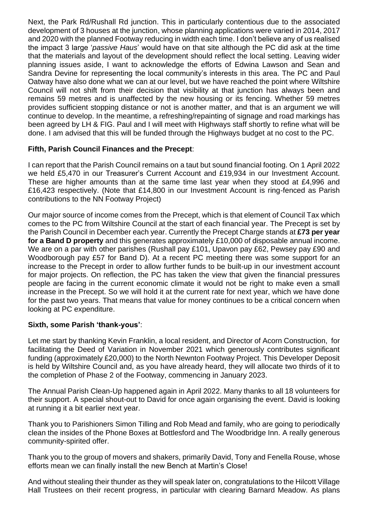Next, the Park Rd/Rushall Rd junction. This in particularly contentious due to the associated development of 3 houses at the junction, whose planning applications were varied in 2014, 2017 and 2020 with the planned Footway reducing in width each time. I don't believe any of us realised the impact 3 large '*passive Haus*' would have on that site although the PC did ask at the time that the materials and layout of the development should reflect the local setting. Leaving wider planning issues aside, I want to acknowledge the efforts of Edwina Lawson and Sean and Sandra Devine for representing the local community's interests in this area. The PC and Paul Oatway have also done what we can at our level, but we have reached the point where Wiltshire Council will not shift from their decision that visibility at that junction has always been and remains 59 metres and is unaffected by the new housing or its fencing. Whether 59 metres provides sufficient stopping distance or not is another matter, and that is an argument we will continue to develop. In the meantime, a refreshing/repainting of signage and road markings has been agreed by LH & FIG. Paul and I will meet with Highways staff shortly to refine what will be done. I am advised that this will be funded through the Highways budget at no cost to the PC.

# **Fifth, Parish Council Finances and the Precept**:

I can report that the Parish Council remains on a taut but sound financial footing. On 1 April 2022 we held £5,470 in our Treasurer's Current Account and £19,934 in our Investment Account. These are higher amounts than at the same time last year when they stood at £4,996 and £16,423 respectively. (Note that £14,800 in our Investment Account is ring-fenced as Parish contributions to the NN Footway Project)

Our major source of income comes from the Precept, which is that element of Council Tax which comes to the PC from Wiltshire Council at the start of each financial year. The Precept is set by the Parish Council in December each year. Currently the Precept Charge stands at **£73 per year for a Band D property** and this generates approximately £10,000 of disposable annual income. We are on a par with other parishes (Rushall pay £101, Upavon pay £62, Pewsey pay £90 and Woodborough pay £57 for Band D). At a recent PC meeting there was some support for an increase to the Precept in order to allow further funds to be built-up in our investment account for major projects. On reflection, the PC has taken the view that given the financial pressures people are facing in the current economic climate it would not be right to make even a small increase in the Precept. So we will hold it at the current rate for next year, which we have done for the past two years. That means that value for money continues to be a critical concern when looking at PC expenditure.

## **Sixth, some Parish 'thank-yous'**:

Let me start by thanking Kevin Franklin, a local resident, and Director of Acorn Construction, for facilitating the Deed of Variation in November 2021 which generously contributes significant funding (approximately £20,000) to the North Newnton Footway Project. This Developer Deposit is held by Wiltshire Council and, as you have already heard, they will allocate two thirds of it to the completion of Phase 2 of the Footway, commencing in January 2023.

The Annual Parish Clean-Up happened again in April 2022. Many thanks to all 18 volunteers for their support. A special shout-out to David for once again organising the event. David is looking at running it a bit earlier next year.

Thank you to Parishioners Simon Tilling and Rob Mead and family, who are going to periodically clean the insides of the Phone Boxes at Bottlesford and The Woodbridge Inn. A really generous community-spirited offer.

Thank you to the group of movers and shakers, primarily David, Tony and Fenella Rouse, whose efforts mean we can finally install the new Bench at Martin's Close!

And without stealing their thunder as they will speak later on, congratulations to the Hilcott Village Hall Trustees on their recent progress, in particular with clearing Barnard Meadow. As plans